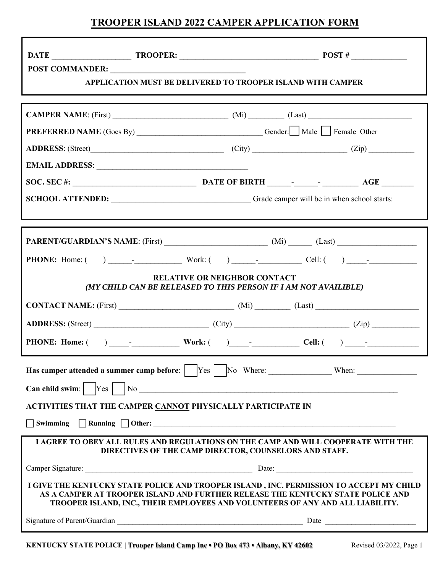# **TROOPER ISLAND 2022 CAMPER APPLICATION FORM**

Г

| POST COMMANDER:<br><b>APPLICATION MUST BE DELIVERED TO TROOPER ISLAND WITH CAMPER</b>                                                                                                                                                                        |  |  |
|--------------------------------------------------------------------------------------------------------------------------------------------------------------------------------------------------------------------------------------------------------------|--|--|
|                                                                                                                                                                                                                                                              |  |  |
|                                                                                                                                                                                                                                                              |  |  |
| <b>PREFERRED NAME</b> (Goes By) _______________________________Gender: Male Female Other                                                                                                                                                                     |  |  |
| ADDRESS: (Street) (City) (City) (Zip) (Zip)                                                                                                                                                                                                                  |  |  |
|                                                                                                                                                                                                                                                              |  |  |
|                                                                                                                                                                                                                                                              |  |  |
| SCHOOL ATTENDED: Grade camper will be in when school starts:                                                                                                                                                                                                 |  |  |
|                                                                                                                                                                                                                                                              |  |  |
|                                                                                                                                                                                                                                                              |  |  |
|                                                                                                                                                                                                                                                              |  |  |
| <b>RELATIVE OR NEIGHBOR CONTACT</b><br>(MY CHILD CAN BE RELEASED TO THIS PERSON IF I AM NOT AVAILIBLE)                                                                                                                                                       |  |  |
| $CONTACT NAME: (First) ________ (Mi) ________ (Last) ________$                                                                                                                                                                                               |  |  |
|                                                                                                                                                                                                                                                              |  |  |
|                                                                                                                                                                                                                                                              |  |  |
| Has camper attended a summer camp before: TVes TNo Where: _____________When: When:                                                                                                                                                                           |  |  |
| <b>ACTIVITIES THAT THE CAMPER CANNOT PHYSICALLY PARTICIPATE IN</b>                                                                                                                                                                                           |  |  |
|                                                                                                                                                                                                                                                              |  |  |
| I AGREE TO OBEY ALL RULES AND REGULATIONS ON THE CAMP AND WILL COOPERATE WITH THE<br>DIRECTIVES OF THE CAMP DIRECTOR, COUNSELORS AND STAFF.                                                                                                                  |  |  |
|                                                                                                                                                                                                                                                              |  |  |
| I GIVE THE KENTUCKY STATE POLICE AND TROOPER ISLAND, INC. PERMISSION TO ACCEPT MY CHILD<br>AS A CAMPER AT TROOPER ISLAND AND FURTHER RELEASE THE KENTUCKY STATE POLICE AND<br>TROOPER ISLAND, INC., THEIR EMPLOYEES AND VOLUNTEERS OF ANY AND ALL LIABILITY. |  |  |
|                                                                                                                                                                                                                                                              |  |  |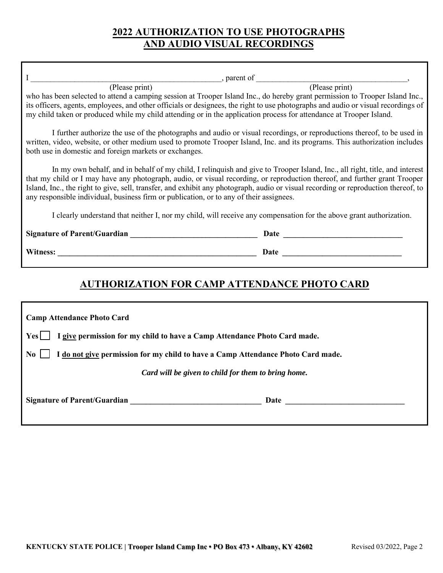# **2022 AUTHORIZATION TO USE PHOTOGRAPHS AND AUDIO VISUAL RECORDINGS**

|                                                                                                                                                                                                                                                                                                                                                                                                                                                                                           | parent of (Please print) |  |
|-------------------------------------------------------------------------------------------------------------------------------------------------------------------------------------------------------------------------------------------------------------------------------------------------------------------------------------------------------------------------------------------------------------------------------------------------------------------------------------------|--------------------------|--|
| (Please print)                                                                                                                                                                                                                                                                                                                                                                                                                                                                            |                          |  |
| who has been selected to attend a camping session at Trooper Island Inc., do hereby grant permission to Trooper Island Inc.,<br>its officers, agents, employees, and other officials or designees, the right to use photographs and audio or visual recordings of<br>my child taken or produced while my child attending or in the application process for attendance at Trooper Island.                                                                                                  |                          |  |
| I further authorize the use of the photographs and audio or visual recordings, or reproductions thereof, to be used in<br>written, video, website, or other medium used to promote Trooper Island, Inc. and its programs. This authorization includes<br>both use in domestic and foreign markets or exchanges.                                                                                                                                                                           |                          |  |
| In my own behalf, and in behalf of my child, I relinquish and give to Trooper Island, Inc., all right, title, and interest<br>that my child or I may have any photograph, audio, or visual recording, or reproduction thereof, and further grant Trooper<br>Island, Inc., the right to give, sell, transfer, and exhibit any photograph, audio or visual recording or reproduction thereof, to<br>any responsible individual, business firm or publication, or to any of their assignees. |                          |  |
| I clearly understand that neither I, nor my child, will receive any compensation for the above grant authorization.                                                                                                                                                                                                                                                                                                                                                                       |                          |  |
|                                                                                                                                                                                                                                                                                                                                                                                                                                                                                           |                          |  |
|                                                                                                                                                                                                                                                                                                                                                                                                                                                                                           |                          |  |
| <b>AUTHORIZATION FOR CAMP ATTENDANCE PHOTO CARD</b>                                                                                                                                                                                                                                                                                                                                                                                                                                       |                          |  |
| <b>Camp Attendance Photo Card</b>                                                                                                                                                                                                                                                                                                                                                                                                                                                         |                          |  |
| I give permission for my child to have a Camp Attendance Photo Card made.<br>$Yes$ $\Box$                                                                                                                                                                                                                                                                                                                                                                                                 |                          |  |
| I do not give permission for my child to have a Camp Attendance Photo Card made.<br>No.                                                                                                                                                                                                                                                                                                                                                                                                   |                          |  |

*Card will be given to child for them to bring home.*

Signature of Parent/Guardian **Date 2008** and 2008 and 2008 and 2008 and 2008 and 2008 and 2008 and 2008 and 2008 and 2008 and 2008 and 2008 and 2008 and 2008 and 2008 and 2008 and 2008 and 2008 and 2008 and 2008 and 2008 a

r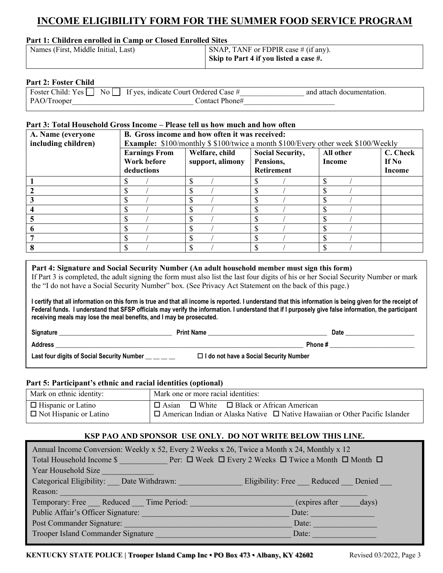# **INCOME ELIGIBILITY FORM FOR THE SUMMER FOOD SERVICE PROGRAM**

### **Part 1: Children enrolled in Camp or Closed Enrolled Sites**

| Names (First, Middle Initial, Last) | SNAP, TANF or FDPIR case $#$ (if any). |
|-------------------------------------|----------------------------------------|
|                                     | Skip to Part 4 if you listed a case #. |

### **Part 2: Foster Child**

|                                         | and attach documentation. |
|-----------------------------------------|---------------------------|
| PAO/Trooper<br>$\text{Context Phone}\#$ |                           |

# **Part 3: Total Household Gross Income – Please tell us how much and how often**

| A. Name (everyone   | B. Gross income and how often it was received:                                          |                  |                         |           |          |
|---------------------|-----------------------------------------------------------------------------------------|------------------|-------------------------|-----------|----------|
| including children) | <b>Example:</b> \$100/monthly \$\$100/twice a month \$100/Every other week \$100/Weekly |                  |                         |           |          |
|                     | <b>Earnings From</b>                                                                    | Welfare, child   | <b>Social Security,</b> | All other | C. Check |
|                     | Work before                                                                             | support, alimony | Pensions,               | Income    | If No    |
|                     | deductions                                                                              |                  | <b>Retirement</b>       |           | Income   |
|                     |                                                                                         |                  |                         |           |          |
|                     |                                                                                         |                  |                         |           |          |
|                     |                                                                                         |                  |                         |           |          |
|                     |                                                                                         |                  |                         |           |          |
|                     |                                                                                         |                  |                         |           |          |
|                     |                                                                                         |                  |                         |           |          |
|                     |                                                                                         |                  |                         |           |          |
|                     |                                                                                         |                  |                         |           |          |

### **Part 4: Signature and Social Security Number (An adult household member must sign this form)**

If Part 3 is completed, the adult signing the form must also list the last four digits of his or her Social Security Number or mark the "I do not have a Social Security Number" box. (See Privacy Act Statement on the back of this page.)

**I certify that all information on this form is true and that all income is reported. I understand that this information is being given for the receipt of Federal funds. I understand that SFSP officials may verify the information. I understand that if I purposely give false information, the participant receiving meals may lose the meal benefits, and I may be prosecuted.**

| Signature                                  | <b>Print Name</b>                             | Date   |
|--------------------------------------------|-----------------------------------------------|--------|
| <b>Address</b>                             |                                               | Phone# |
| Last four digits of Social Security Number | $\Box$ I do not have a Social Security Number |        |

### **Part 5: Participant's ethnic and racial identities (optional)**

| Mark on ethnic identity:      | Mark one or more racial identities:                                                      |
|-------------------------------|------------------------------------------------------------------------------------------|
| $\Box$ Hispanic or Latino     | $\Box$ Asian $\Box$ White $\Box$ Black or African American                               |
| $\Box$ Not Hispanic or Latino | $\Box$ American Indian or Alaska Native $\Box$ Native Hawaiian or Other Pacific Islander |

### **KSP PAO AND SPONSOR USE ONLY. DO NOT WRITE BELOW THIS LINE.**

| Annual Income Conversion: Weekly x 52, Every 2 Weeks x 26, Twice a Month x 24, Monthly x 12 |                                     |  |  |
|---------------------------------------------------------------------------------------------|-------------------------------------|--|--|
| Total Household Income \$ Per: □ Week □ Every 2 Weeks □ Twice a Month □ Month □             |                                     |  |  |
| Year Household Size                                                                         |                                     |  |  |
| Categorical Eligibility: Date Withdrawn:                                                    | Eligibility: Free Reduced<br>Denied |  |  |
| Reason:                                                                                     |                                     |  |  |
| Temporary: Free Reduced Time Period:                                                        | (expires after<br>days)             |  |  |
| Public Affair's Officer Signature:                                                          | Date:                               |  |  |
| Post Commander Signature:                                                                   | Date:                               |  |  |
| Trooper Island Commander Signature                                                          | Date:                               |  |  |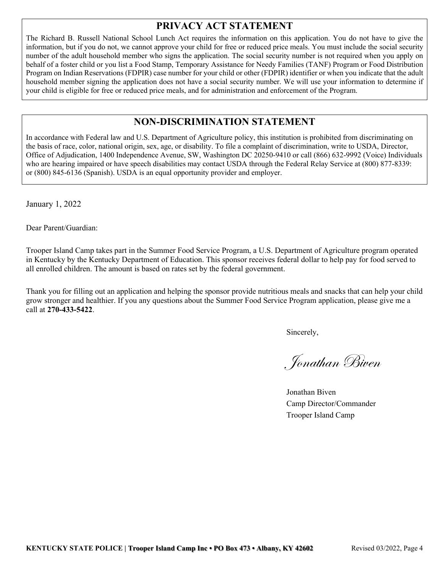# **PRIVACY ACT STATEMENT**

The Richard B. Russell National School Lunch Act requires the information on this application. You do not have to give the information, but if you do not, we cannot approve your child for free or reduced price meals. You must include the social security number of the adult household member who signs the application. The social security number is not required when you apply on behalf of a foster child or you list a Food Stamp, Temporary Assistance for Needy Families (TANF) Program or Food Distribution Program on Indian Reservations (FDPIR) case number for your child or other (FDPIR) identifier or when you indicate that the adult household member signing the application does not have a social security number. We will use your information to determine if your child is eligible for free or reduced price meals, and for administration and enforcement of the Program.

# **NON-DISCRIMINATION STATEMENT**

In accordance with Federal law and U.S. Department of Agriculture policy, this institution is prohibited from discriminating on the basis of race, color, national origin, sex, age, or disability. To file a complaint of discrimination, write to USDA, Director, Office of Adjudication, 1400 Independence Avenue, SW, Washington DC 20250-9410 or call (866) 632-9992 (Voice) Individuals who are hearing impaired or have speech disabilities may contact USDA through the Federal Relay Service at (800) 877-8339: or (800) 845-6136 (Spanish). USDA is an equal opportunity provider and employer.

January 1, 2022

Dear Parent/Guardian:

Trooper Island Camp takes part in the Summer Food Service Program, a U.S. Department of Agriculture program operated in Kentucky by the Kentucky Department of Education. This sponsor receives federal dollar to help pay for food served to all enrolled children. The amount is based on rates set by the federal government.

Thank you for filling out an application and helping the sponsor provide nutritious meals and snacks that can help your child grow stronger and healthier. If you any questions about the Summer Food Service Program application, please give me a call at **270-433-5422**.

Sincerely,

Jonathan Biven

Jonathan Biven Camp Director/Commander Trooper Island Camp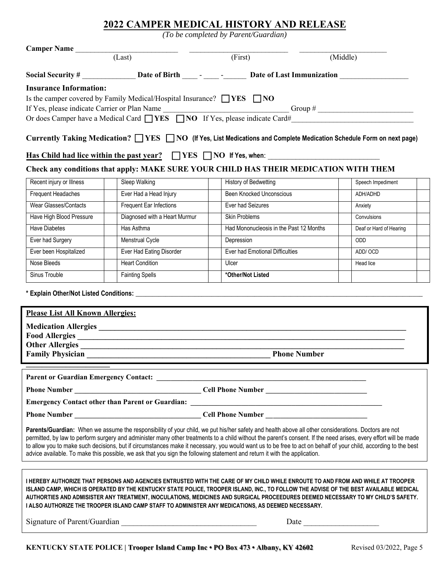# **2022 CAMPER MEDICAL HISTORY AND RELEASE**

*(To be completed by Parent/Guardian)*

| Camper Name (Last)                                                                                                                                                                                                                                                                                                                                                                                                                                                                                                                                                                                                      |                               | (First)                                                                                              | (Middle)                |
|-------------------------------------------------------------------------------------------------------------------------------------------------------------------------------------------------------------------------------------------------------------------------------------------------------------------------------------------------------------------------------------------------------------------------------------------------------------------------------------------------------------------------------------------------------------------------------------------------------------------------|-------------------------------|------------------------------------------------------------------------------------------------------|-------------------------|
|                                                                                                                                                                                                                                                                                                                                                                                                                                                                                                                                                                                                                         |                               | Social Security # ________________Date of Birth ______ - __________________Date of Last Immunization |                         |
| <b>Insurance Information:</b><br>Is the camper covered by Family Medical/Hospital Insurance? $\Box$ YES $\Box$ NO<br>Or does Camper have a Medical Card $\Box$ YES $\Box$ NO If Yes, please indicate Card#<br>Currently Taking Medication? $\Box$ YES $\Box$ NO (If Yes, List Medications and Complete Medication Schedule Form on next page)                                                                                                                                                                                                                                                                           |                               |                                                                                                      |                         |
|                                                                                                                                                                                                                                                                                                                                                                                                                                                                                                                                                                                                                         |                               | Has Child had lice within the past year? VES NO If Yes, when:                                        |                         |
|                                                                                                                                                                                                                                                                                                                                                                                                                                                                                                                                                                                                                         |                               | Check any conditions that apply: MAKE SURE YOUR CHILD HAS THEIR MEDICATION WITH THEM                 |                         |
| Recent injury or Illness                                                                                                                                                                                                                                                                                                                                                                                                                                                                                                                                                                                                | Sleep Walking                 | History of Bedwetting                                                                                | Speech Impediment       |
| <b>Frequent Headaches</b>                                                                                                                                                                                                                                                                                                                                                                                                                                                                                                                                                                                               | Ever Had a Head Injury        | <b>Been Knocked Unconscious</b>                                                                      | ADH/ADHD                |
| <b>Wear Glasses/Contacts</b>                                                                                                                                                                                                                                                                                                                                                                                                                                                                                                                                                                                            | Frequent Ear Infections       | Ever had Seizures                                                                                    | Anxiety                 |
| Have High Blood Pressure                                                                                                                                                                                                                                                                                                                                                                                                                                                                                                                                                                                                | Diagnosed with a Heart Murmur | Skin Problems                                                                                        | Convulsions             |
| <b>Have Diabetes</b>                                                                                                                                                                                                                                                                                                                                                                                                                                                                                                                                                                                                    | Has Asthma                    | Had Mononucleosis in the Past 12 Months                                                              | Deaf or Hard of Hearing |
| Ever had Surgery                                                                                                                                                                                                                                                                                                                                                                                                                                                                                                                                                                                                        | Menstrual Cycle               | Depression                                                                                           | ODD                     |
| Ever been Hospitalized                                                                                                                                                                                                                                                                                                                                                                                                                                                                                                                                                                                                  | Ever Had Eating Disorder      | Ever had Emotional Difficulties                                                                      | ADD/OCD                 |
| Nose Bleeds                                                                                                                                                                                                                                                                                                                                                                                                                                                                                                                                                                                                             | <b>Heart Condition</b>        | Ulcer                                                                                                | Head lice               |
| Sinus Trouble                                                                                                                                                                                                                                                                                                                                                                                                                                                                                                                                                                                                           | <b>Fainting Spells</b>        | *Other/Not Listed                                                                                    |                         |
| <b>Please List All Known Allergies:</b><br>Other Allergies<br><b>Family Physician</b><br><b>Phone Number</b>                                                                                                                                                                                                                                                                                                                                                                                                                                                                                                            |                               |                                                                                                      |                         |
|                                                                                                                                                                                                                                                                                                                                                                                                                                                                                                                                                                                                                         |                               |                                                                                                      |                         |
|                                                                                                                                                                                                                                                                                                                                                                                                                                                                                                                                                                                                                         |                               |                                                                                                      |                         |
|                                                                                                                                                                                                                                                                                                                                                                                                                                                                                                                                                                                                                         |                               |                                                                                                      |                         |
|                                                                                                                                                                                                                                                                                                                                                                                                                                                                                                                                                                                                                         |                               |                                                                                                      |                         |
| Parents/Guardian: When we assume the responsibility of your child, we put his/her safety and health above all other considerations. Doctors are not<br>permitted, by law to perform surgery and administer many other treatments to a child without the parent's consent. If the need arises, every effort will be made<br>to allow you to make such decisions, but if circumstances make it necessary, you would want us to be free to act on behalf of your child, according to the best<br>advice available. To make this possible, we ask that you sign the following statement and return it with the application. |                               |                                                                                                      |                         |
|                                                                                                                                                                                                                                                                                                                                                                                                                                                                                                                                                                                                                         |                               |                                                                                                      |                         |
| I HEREBY AUTHORIZE THAT PERSONS AND AGENCIES ENTRUSTED WITH THE CARE OF MY CHILD WHILE ENROUTE TO AND FROM AND WHILE AT TROOPER<br>ISLAND CAMP, WHICH IS OPERATED BY THE KENTUCKY STATE POLICE, TROOPER ISLAND, INC., TO FOLLOW THE ADVISE OF THE BEST AVAILABLE MEDICAL<br>AUTHORTIES AND ADMISISTER ANY TREATMENT, INOCULATIONS, MEDICINES AND SURGICAL PROCEEDURES DEEMED NECESSARY TO MY CHILD'S SAFETY.<br>I ALSO AUTHORIZE THE TROOPER ISLAND CAMP STAFF TO ADMINISTER ANY MEDICATIONS, AS DEEMED NECESSARY.                                                                                                      |                               |                                                                                                      |                         |
|                                                                                                                                                                                                                                                                                                                                                                                                                                                                                                                                                                                                                         |                               |                                                                                                      |                         |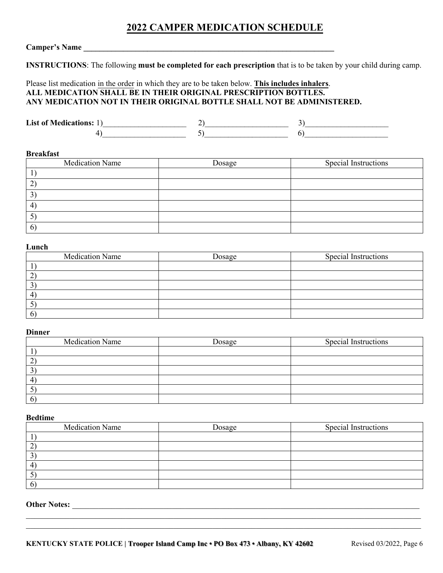# **2022 CAMPER MEDICATION SCHEDULE**

# **Camper's Name \_\_\_\_\_\_\_\_\_\_\_\_\_\_\_\_\_\_\_\_\_\_\_\_\_\_\_\_\_\_\_\_\_\_\_\_\_\_\_\_\_\_\_\_\_\_\_\_\_\_\_\_\_\_\_\_\_\_\_\_\_\_\_**

**INSTRUCTIONS**: The following **must be completed for each prescription** that is to be taken by your child during camp.

## Please list medication in the order in which they are to be taken below. **This includes inhalers**. **ALL MEDICATION SHALL BE IN THEIR ORIGINAL PRESCRIPTION BOTTLES. ANY MEDICATION NOT IN THEIR ORIGINAL BOTTLE SHALL NOT BE ADMINISTERED.**

**List of Medications:** 1)\_\_\_\_\_\_\_\_\_\_\_\_\_\_\_\_\_\_\_\_\_ 2)\_\_\_\_\_\_\_\_\_\_\_\_\_\_\_\_\_\_\_\_\_ 3)\_\_\_\_\_\_\_\_\_\_\_\_\_\_\_\_\_\_\_\_\_  $4)$  (1)

#### **Breakfast**

| Medication Name | Dosage | Special Instructions |
|-----------------|--------|----------------------|
|                 |        |                      |
| ∠               |        |                      |
| $\mathfrak{I}$  |        |                      |
| 4               |        |                      |
| ◡               |        |                      |
| 6               |        |                      |

#### **Lunch**

| <b>Medication Name</b> | Dosage | Special Instructions |
|------------------------|--------|----------------------|
|                        |        |                      |
| ∼                      |        |                      |
| 3                      |        |                      |
| 4                      |        |                      |
| Ο                      |        |                      |
| 6                      |        |                      |

### **Dinner**

| <b>Medication Name</b> | Dosage | Special Instructions |
|------------------------|--------|----------------------|
|                        |        |                      |
| ∼                      |        |                      |
| C                      |        |                      |
| 4                      |        |                      |
| J                      |        |                      |
| 6                      |        |                      |

### **Bedtime**

| <b>Medication Name</b> | Dosage | Special Instructions |
|------------------------|--------|----------------------|
|                        |        |                      |
|                        |        |                      |
|                        |        |                      |
|                        |        |                      |
|                        |        |                      |
|                        |        |                      |

 $\mathcal{L}_\mathcal{L} = \{ \mathcal{L}_\mathcal{L} = \{ \mathcal{L}_\mathcal{L} = \{ \mathcal{L}_\mathcal{L} = \{ \mathcal{L}_\mathcal{L} = \{ \mathcal{L}_\mathcal{L} = \{ \mathcal{L}_\mathcal{L} = \{ \mathcal{L}_\mathcal{L} = \{ \mathcal{L}_\mathcal{L} = \{ \mathcal{L}_\mathcal{L} = \{ \mathcal{L}_\mathcal{L} = \{ \mathcal{L}_\mathcal{L} = \{ \mathcal{L}_\mathcal{L} = \{ \mathcal{L}_\mathcal{L} = \{ \mathcal{L}_\mathcal{$  $\_$  , and the set of the set of the set of the set of the set of the set of the set of the set of the set of the set of the set of the set of the set of the set of the set of the set of the set of the set of the set of th

# **Other Notes:** \_\_\_\_\_\_\_\_\_\_\_\_\_\_\_\_\_\_\_\_\_\_\_\_\_\_\_\_\_\_\_\_\_\_\_\_\_\_\_\_\_\_\_\_\_\_\_\_\_\_\_\_\_\_\_\_\_\_\_\_\_\_\_\_\_\_\_\_\_\_\_\_\_\_\_\_\_\_\_\_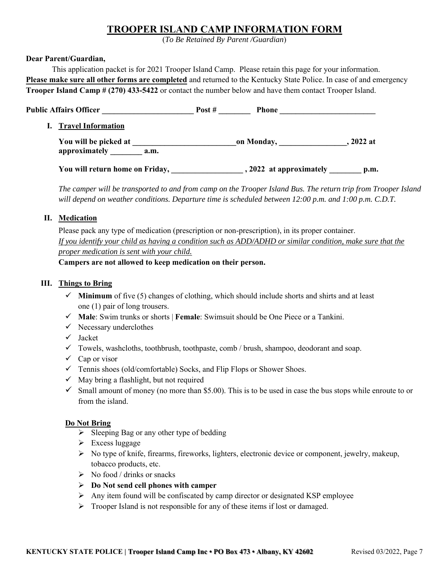# **TROOPER ISLAND CAMP INFORMATION FORM**

(*To Be Retained By Parent /Guardian*)

## **Dear Parent/Guardian,**

This application packet is for 2021 Trooper Island Camp. Please retain this page for your information. **Please make sure all other forms are completed** and returned to the Kentucky State Police. In case of and emergency **Trooper Island Camp # (270) 433-5422** or contact the number below and have them contact Trooper Island.

| <b>Public Affairs Officer</b>   | Post $#$<br><b>Phone</b> |           |
|---------------------------------|--------------------------|-----------|
| <b>Travel Information</b>       |                          |           |
| You will be picked at           | on Monday,               | , 2022 at |
| approximately<br>a.m.           |                          |           |
| You will return home on Friday, | , 2022 at approximately  | p.m.      |

*The camper will be transported to and from camp on the Trooper Island Bus. The return trip from Trooper Island will depend on weather conditions. Departure time is scheduled between 12:00 p.m. and 1:00 p.m. C.D.T.*

# **II. Medication**

Please pack any type of medication (prescription or non-prescription), in its proper container. *If you identify your child as having a condition such as ADD/ADHD or similar condition, make sure that the proper medication is sent with your child.*

**Campers are not allowed to keep medication on their person.**

# **III. Things to Bring**

- $\checkmark$  **Minimum** of five (5) changes of clothing, which should include shorts and shirts and at least one (1) pair of long trousers.
- ✓ **Male**: Swim trunks or shorts | **Female**: Swimsuit should be One Piece or a Tankini.
- $\checkmark$  Necessary underclothes
- ✓ Jacket
- $\checkmark$  Towels, washcloths, toothbrush, toothpaste, comb / brush, shampoo, deodorant and soap.
- $\checkmark$  Cap or visor
- ✓ Tennis shoes (old/comfortable) Socks, and Flip Flops or Shower Shoes.
- $\checkmark$  May bring a flashlight, but not required
- $\checkmark$  Small amount of money (no more than \$5.00). This is to be used in case the bus stops while enroute to or from the island.

### **Do Not Bring**

- $\triangleright$  Sleeping Bag or any other type of bedding
- ➢ Excess luggage
- ➢ No type of knife, firearms, fireworks, lighters, electronic device or component, jewelry, makeup, tobacco products, etc.
- $\triangleright$  No food / drinks or snacks
- ➢ **Do Not send cell phones with camper**
- ➢ Any item found will be confiscated by camp director or designated KSP employee
- ➢ Trooper Island is not responsible for any of these items if lost or damaged.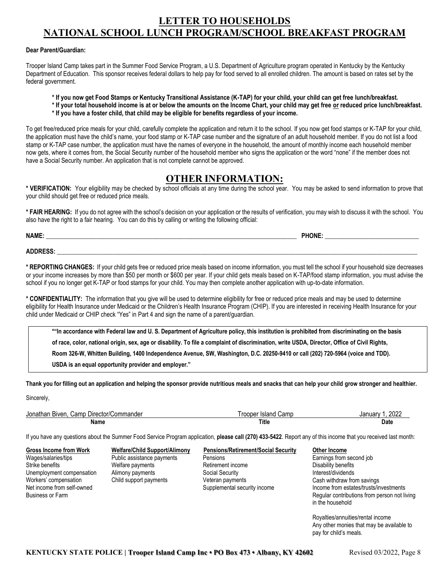# **LETTER TO HOUSEHOLDS NATIONAL SCHOOL LUNCH PROGRAM/SCHOOL BREAKFAST PROGRAM**

#### **Dear Parent/Guardian:**

Trooper Island Camp takes part in the Summer Food Service Program, a U.S. Department of Agriculture program operated in Kentucky by the Kentucky Department of Education. This sponsor receives federal dollars to help pay for food served to all enrolled children. The amount is based on rates set by the federal government.

- **\* If you now get Food Stamps or Kentucky Transitional Assistance (K-TAP) for your child, your child can get free lunch/breakfast.**
- **\* If your total household income is at or below the amounts on the Income Chart, your child may get free or reduced price lunch/breakfast. \* If you have a foster child, that child may be eligible for benefits regardless of your income.**

To get free/reduced price meals for your child, carefully complete the application and return it to the school. If you now get food stamps or K-TAP for your child, the application must have the child's name, your food stamp or K-TAP case number and the signature of an adult household member. If you do not list a food stamp or K-TAP case number, the application must have the names of everyone in the household, the amount of monthly income each household member now gets, where it comes from, the Social Security number of the household member who signs the application or the word "none" if the member does not have a Social Security number. An application that is not complete cannot be approved.

# **OTHER INFORMATION:**

**\* VERIFICATION:** Your eligibility may be checked by school officials at any time during the school year. You may be asked to send information to prove that your child should get free or reduced price meals.

**\* FAIR HEARING:** If you do not agree with the school's decision on your application or the results of verification, you may wish to discuss it with the school. You also have the right to a fair hearing. You can do this by calling or writing the following official:

| NAME | PHONE |  |
|------|-------|--|
|      |       |  |

**ADDRESS:** \_\_\_\_\_\_\_\_\_\_\_\_\_\_\_\_\_\_\_\_\_\_\_\_\_\_\_\_\_\_\_\_\_\_\_\_\_\_\_\_\_\_\_\_\_\_\_\_\_\_\_\_\_\_\_\_\_\_\_\_\_\_\_\_\_\_\_\_\_\_\_\_\_\_\_\_\_\_\_\_\_\_\_\_\_\_\_\_\_\_\_\_\_\_\_\_\_\_\_\_\_\_\_\_\_\_\_\_\_\_\_\_\_\_\_

**\* REPORTING CHANGES:** If your child gets free or reduced price meals based on income information, you must tell the school if your household size decreases or your income increases by more than \$50 per month or \$600 per year. If your child gets meals based on K-TAP/food stamp information, you must advise the school if you no longer get K-TAP or food stamps for your child. You may then complete another application with up-to-date information.

**\* CONFIDENTIALITY:** The information that you give will be used to determine eligibility for free or reduced price meals and may be used to determine eligibility for Health Insurance under Medicaid or the Children's Health Insurance Program (CHIP). If you are interested in receiving Health Insurance for your child under Medicaid or CHIP check "Yes" in Part 4 and sign the name of a parent/guardian.

**\*"In accordance with Federal law and U. S. Department of Agriculture policy, this institution is prohibited from discriminating on the basis of race, color, national origin, sex, age or disability. To file a complaint of discrimination, write USDA, Director, Office of Civil Rights, Room 326-W, Whitten Building, 1400 Independence Avenue, SW, Washington, D.C. 20250-9410 or call (202) 720-5964 (voice and TDD). USDA is an equal opportunity provider and employer."**

**Thank you for filling out an application and helping the sponsor provide nutritious meals and snacks that can help your child grow stronger and healthier.**

Sincerely,

| Jonathan<br>Commander<br>Biven.<br>Camp<br>. Director/C | Camp<br>Trooper Island | 2022<br>January |
|---------------------------------------------------------|------------------------|-----------------|
| Name                                                    | <b>Title</b>           | Date            |

If you have any questions about the Summer Food Service Program application, **please call (270) 433-5422**. Report any of this income that you received last month:

Net income from self-owned Supplemental security income Business or Farm

Wages/salaries/tips **Public assistance payments** Pensions Strike benefits **Strike benefits** Welfare payments Retirement income Unemployment compensation Alimony payments Social Security<br>
Workers' compensation Child support payments Veteran payme Child support payments Veteran payments

**Gross Income from Work Welfare/Child Support/Alimony Pensions/Retirement/Social Security Other Income**

Earnings from second job Disability benefits Interest/dividends Cash withdraw from savings Income from estates/trusts/investments Regular contributions from person not living in the household

Royalties/annuities/rental income Any other monies that may be available to pay for child's meals.